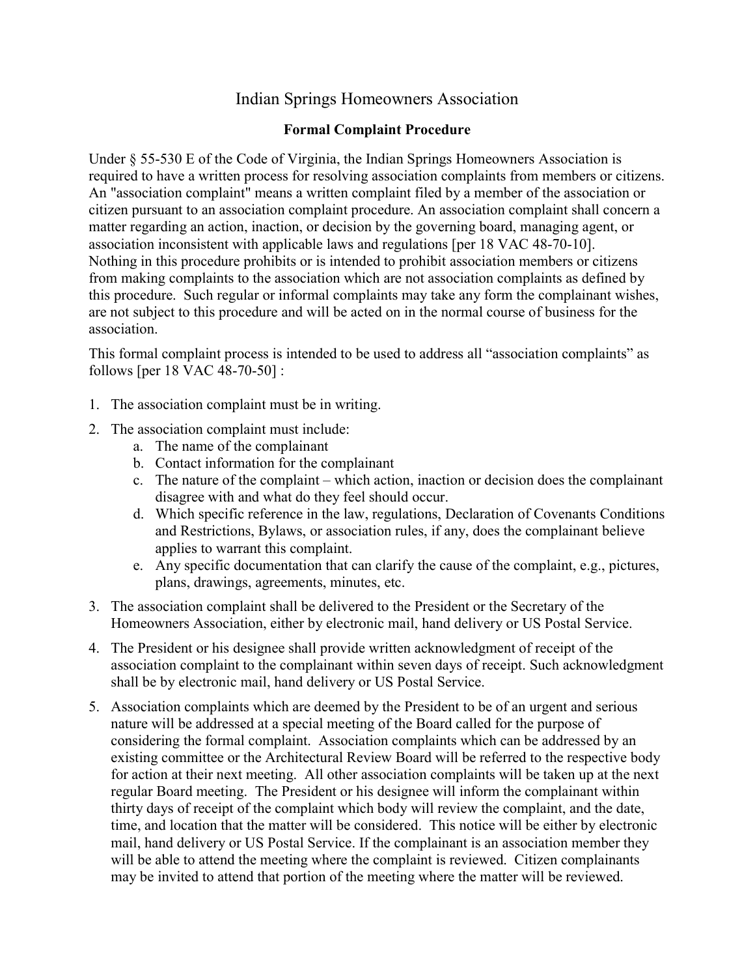## Indian Springs Homeowners Association

## Formal Complaint Procedure

Under § 55-530 E of the Code of Virginia, the Indian Springs Homeowners Association is required to have a written process for resolving association complaints from members or citizens. An "association complaint" means a written complaint filed by a member of the association or citizen pursuant to an association complaint procedure. An association complaint shall concern a matter regarding an action, inaction, or decision by the governing board, managing agent, or association inconsistent with applicable laws and regulations [per 18 VAC 48-70-10]. Nothing in this procedure prohibits or is intended to prohibit association members or citizens from making complaints to the association which are not association complaints as defined by this procedure. Such regular or informal complaints may take any form the complainant wishes, are not subject to this procedure and will be acted on in the normal course of business for the association.

This formal complaint process is intended to be used to address all "association complaints" as follows [per 18 VAC 48-70-50] :

- 1. The association complaint must be in writing.
- 2. The association complaint must include:
	- a. The name of the complainant
	- b. Contact information for the complainant
	- c. The nature of the complaint which action, inaction or decision does the complainant disagree with and what do they feel should occur.
	- d. Which specific reference in the law, regulations, Declaration of Covenants Conditions and Restrictions, Bylaws, or association rules, if any, does the complainant believe applies to warrant this complaint.
	- e. Any specific documentation that can clarify the cause of the complaint, e.g., pictures, plans, drawings, agreements, minutes, etc.
- 3. The association complaint shall be delivered to the President or the Secretary of the Homeowners Association, either by electronic mail, hand delivery or US Postal Service.
- 4. The President or his designee shall provide written acknowledgment of receipt of the association complaint to the complainant within seven days of receipt. Such acknowledgment shall be by electronic mail, hand delivery or US Postal Service.
- 5. Association complaints which are deemed by the President to be of an urgent and serious nature will be addressed at a special meeting of the Board called for the purpose of considering the formal complaint. Association complaints which can be addressed by an existing committee or the Architectural Review Board will be referred to the respective body for action at their next meeting. All other association complaints will be taken up at the next regular Board meeting. The President or his designee will inform the complainant within thirty days of receipt of the complaint which body will review the complaint, and the date, time, and location that the matter will be considered. This notice will be either by electronic mail, hand delivery or US Postal Service. If the complainant is an association member they will be able to attend the meeting where the complaint is reviewed. Citizen complainants may be invited to attend that portion of the meeting where the matter will be reviewed.